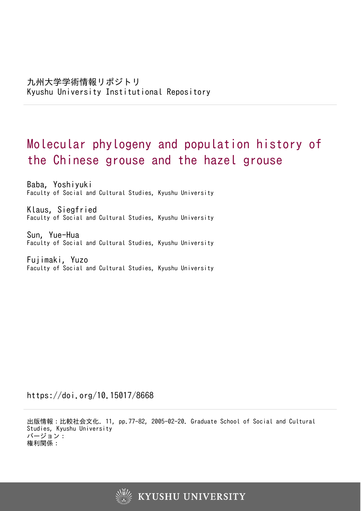# Molecular phylogeny and population history of the Chinese grouse and the hazel grouse

Baba, Yoshiyuki Faculty of Social and Cultural Studies, Kyushu University

Klaus, Siegfried Faculty of Social and Cultural Studies, Kyushu University

Sun, Yue-Hua Faculty of Social and Cultural Studies, Kyushu University

Fujimaki, Yuzo Faculty of Social and Cultural Studies, Kyushu University

https://doi.org/10.15017/8668

出版情報:比較社会文化. 11, pp.77-82, 2005-02-20. Graduate School of Social and Cultural Studies, Kyushu University バージョン: 権利関係:

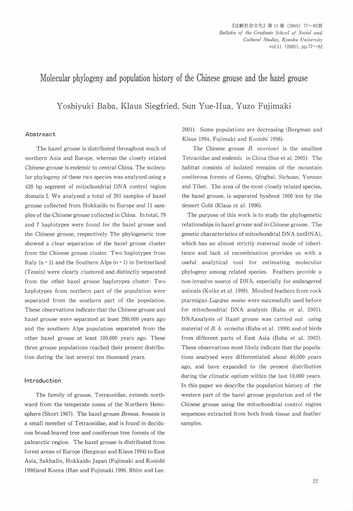## Molecular phylogeny and population history of the Chinese grouse and the hazel grouse

Yoshiyuki Baba, Klaus Siegfried, Sun Yue-Hua, Yuzo Fujim

#### Abstreact

 The hazel grouse is distributed throughout much of northern Asia and Europe, whereas the closely related Chinese grouse is endemic to central China. The molecular phylogeny of these two species was analyzed using a 420 bp segment of mitochondrial DNA control region domain I. We analyzed a total of 201 samples of hazel grouse collected from Hokkaido to Europe and 11 samples of the Chinese grouse collected in China. In total, 79 and 7 haplotypes were found for the hazel grouse and the Chinese grouse, respectively The phylegenetic tree showed a clear separation of the hazel grouse cluster from the Chinese grouse cluster. Two haplotypes from Italy  $(n = 1)$  and the Southern Alps  $(n = 1)$  in Switzerland (Tessin) were clearly clustered and distinctly separated from the other hazel greuse haplotypes cluster. Two haplotypes from northern part of the population were separated from the southern part of the population. These observations indicate that the Chinese grouse and hazel grouse were separated at least  $200,000$  years ago and the southern Alps population separated from the other hazel grouse at least 100,OOO years ago. These three grouse popuiations reached their present distribution during the last several ten thousand years.

#### lntroduction

The family of grouse, Tetraonidae, extends northward from the temperate zones of the Northern Hemisphere (Short 1967). The hazel grouse Bonasa. bonasia is a small member of Tetraonidae, and is found in deciduous broad-leaved tree and coniferous tree forests of the palearctic region. The hazel grouse is distributed from forest areas of Europe (Bergman and Klaus 1994) to East Asia, Sakhalin, Hokkaido Japan (Fujimaki and Konishi 1996)and Korea (Han and Fujimaki 1996, Rhim and Lee.

2001). Some populations are decreasing (Bergman and Klaus 1994, Fujimaki and Konishi l996).

The Chinese grouse  $B$ , *swerzowi* is the smallest Tetraoidae and endemic in China (Sun et al. 2005). The habitat consists of isolated remains of the mountain coniferous forests of Gansu, Qinghai, Sichuan, Yunnan and Tibet. The area of the most closely related species, the hazel grouse, is separated byabout 1000 km by the dessert Gobi (Klaus et al. 1996).

 The purpose of this work is to study the phylogenetic relationships in hazel grouse and in Chinese grouse. The genetic characteristics of mitochondrial DNA (mtDNA), which has an almost strictly maternal mode of inheritance and lack of recombination provides us with a useful analytical tool for estimating molecular phylogeny among related species. Feathers provide a non-invasive source of DNA, especially for endangered animals (Koike et al. 1998). Moulted feathers from rock ptarmigan *Lagopus mutus* were successfully used before for mitochondriai DNA analysis (Baba et al. 2001). DNAanalysis of Hazel grouse was carried out using material of B. b. vicinitas (Baba et al. 1999) and of birds from different parts of East Asia (Baba et al. 2002). These observations most likely indicate that the populations analysed were differentiated about 40,OOO years ago, and have expanded to the present distribution during the climatic optium within the iast IO,OOO years. In this paper we describe the population history of the western part of the hazel grouse population and of the Chinese grouse using the mitochondrial controi region sequences extracted from both fresh tissue and feather samples.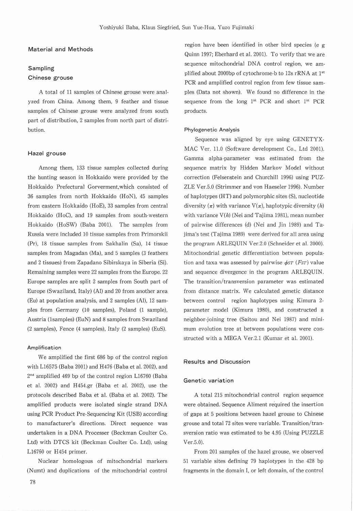#### Material and Methods

### Sampling Chinese grouse

 A total of 11 samples of Chinese grouse were analyzed from China. Among them, 9 feather and tissue samples of Chinese grouse were analyzed from south part of distribution, 2 samples from north part of distribution.

#### Hazel grouse

 Among them, 133 tissue samples collected during the hunting season in Hokkaido were provided by the Hokkaldo Prefectural Gorverment,which consisted of 36 samples from north Hokkaido (HoN), 45 samples from eastern Hokkaido (HoE), 33 samples from central Hokkaido (HoC), and 19 samples from south-western Hokkaido (HoSW) (Baba 2001). The samples from Russia were included 10 tissue samples from Primorskii (Pr), l8 tissue samples from Sakhalin (Sa), 14 tissue samples from Magadan (Ma), and 5 samples (3 feathers and 2 tissues) from Zapadano Sibirskaya in Siberia (Si). Remaining samples were 22 samples from the Europe. 22 Europe samples are split 2 samples from South part of Europe (Swaziland, Italy) (Al) and 20 from another area (Eu) at population analysis, and 2 samples (Al), 12 samples from Germany (10 samples), Poland (1 sample), Austria (lsamples) (EuN) and 8 samples from Swaziland (2 samples), Fence (4 samples), Italy (2 samples) (EuS).

#### Amplification

 We amplified the first 686 bp of the control region with L16575 (Baba 2001) and H476 (Baba et al. 2002), and 2<sup>nd</sup> amplified 469 bp of the control region L16760 (Baba et al. 2002) and H454.gr (Baba et al. 2002), use the protocols described Baba et al. (Baba et al. 2002). The amplified products were isolated single strand DNA using PCR Product Pre-Sequencing Kit (USB) according to manufacturer's directions. Direct sequence was undertaken in a DNA Processer (Beckman Coulter Co. Ltd) with DTCS kit (Beckman Coulter Co. Ltd), using L16760 or H454 primer.

 Nuclear homologous of mitochondrial markers (Numt) and duplications of the mitochondrial control  region have been identified in other bird species (e g Quinn 1997; Eberhard et al. 2001). To verify that we are sequence mitochondrial DNA control region, we amplified about 2000bp of cytochrome-b to 12s rRNA at 1<sup>st</sup> PCR and amplified control region from few tissue sam ples (Data not shown). We found no difference in the sequence from the long 1<sup>st</sup> PCR and short 1<sup>st</sup> PCR products.

#### Phylogenetic Analysis

 Sequence was aligned by eye using GENETYX-MAC Ver. 11.0 (Software development Co., Ltd 2001). Gamma alpha-parameter was estimated from the sequence matrix by Hidden Markov Model without correction (Felsenstein and Churchill 1996) using PUZ-ZLE Ver.5.0 (Strimmer and von Haeseler 1996). Number of haplotypes (H T) and polymorphic sites (S), nucleotide diversity  $(\pi)$  with variance  $V(\pi)$ , haplotypic diversity  $(h)$ with variance  $V(h)$  (Nei and Tajima 1981), mean number of pairwise differences (d) (Nei and Jin 1989) and Tajima's test (Tajlma 1989) were derived for all area using the program ARLEQUIN Ver.2.0 (Schneider et al. 2000). Mitochondrial genetic differentiation between population and taxa was assessed by pairwise  $\phi$ st (FsT) value and sequence divergence in the program ARLEQUIN. The transition/transversion parameter was estimated from distance matrix. We calculated genetic distance between control region haplotypes using Kimura 2 parameter model (Kimura 1980), and constructed a neighbor-joining tree (Saitou and Nei 1987) and minimum evolution tree at between populations were constructed with a MEGA Ver.2.1 (Kumar et al. 2001).

#### Results and Discussion

#### Genetic variation

 A total 215 mitochondrial control region sequence were obtained. Sequence Aliment required the insertion of gaps at 5 positions between hazel grouse to Chinese grouse and total 72 sites were variable. Transition/transversion ratio was estimated to be 4.95 (Using PUZZLE  $Ver.5.0$ ).

 From 201 samples of the hazel grouse, we observed 51 variable sites defining 79 haplotypes in the 428 bp fragments in the domain I, or left domain, of the control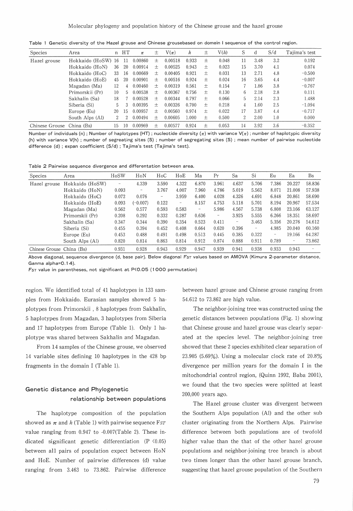Table 1 Genetic diversity of the Hazel grouse and Chinese grousebased on domein I sequence of the control region

| <b>Species</b> | Area            | n   | HT  | $\pi$   | 土      | $V(\pi)$ | h     | 土      | $\mathrm{V}(h)$ | S              |          | S/d | Tajima's test |
|----------------|-----------------|-----|-----|---------|--------|----------|-------|--------|-----------------|----------------|----------|-----|---------------|
| Hazel grouse   | Hokkaido (HoSW) | -16 | -11 | 0.00860 | 士      | 0.00518  | 0.933 | 土      | 0.048           | 11             | 3.48     | 3.2 | 0.192         |
|                | Hokkaido (HoN)  | 36  | 20  | 0.00914 | 士      | 0.00525  | 0.943 | 士      | 0.023           | 15             | 3.70     | 4.1 | 0.074         |
|                | Hokkaido (HoC)  | 33  | 16  | 0.00669 | 士      | 0.00405  | 0.921 | 士      | 0.031           | 13             | 2.71     | 4.8 | $-0.500$      |
|                | Hokkaido (HoE)  | 45  | 20  | 0.00901 | 士      | 0.00516  | 0.924 | 土      | 0.024           | 16             | 3.65     | 4.4 | $-0.007$      |
|                | Magadan (Ma)    | 12  | 4   | 0.00460 | $+$    | 0.00319  | 0.561 | 土      | 0.154           |                | 1.86     | 3.8 | $-0.767$      |
|                | Primorskii (Pr) | 10  | 5   | 0.00538 | $+$    | 0.00367  | 0.756 | 士      | 0.130           | 6              | 2.18     | 2.8 | 0.111         |
|                | Sakhalin (Sa)   | 18  |     | 0.00528 | $^{+}$ | 0.00344  | 0.797 | $+$    | 0.066           | 5              | 2.14     | 2.3 | 1.488         |
|                | Siberia (Si)    | 5   |     | 0.00395 | $^{+}$ | 0.00326  | 0.700 | 土      | 0.218           | 4              | $1.60\,$ | 2.5 | $-1.094$      |
|                | Europe (Eu)     | 20  | 15  | 0.00957 | $^{+}$ | 0.00560  | 0.974 | $^{+}$ | 0.022           | 17             | 3.87     | 4.4 | $-0.717$      |
|                | South Alps (Al) | 2   |     | 0.00494 | $+$    | 0.00605  | 1.000 | 士      | 0.500           | $\overline{2}$ | 2.00     | 1.0 | 0.000         |
| Chinese Grouse | China (Bs)      | 15  |     | 0.00969 | $^{+}$ | 0.00577  | 0.924 | 土      | 0.053           | 14             | 3.92     | 3.6 | $-0.352$      |

Number of individuals (n); Number of haplotypes (HT); nucleotide diversity ( $\pi$ ) with variance V( $\pi$ ); number of haplotypic diversity (h) with variance V(h) ; number of segreating sites (S) ; number of segregating sites (S); mean number of pairwise nucleotide difference (d); expan coefficient (S/d); Tajima's test (Tajima's test).

Table 2 Pairwise sequence divergence and differentation between area.

| Species                   | Area            | HoSW                     | $H_0N$     | HoC   | HoE                      | Мa                           | Pr       | Sa              | Si     | Eu    | Ea     | Bs                       |
|---------------------------|-----------------|--------------------------|------------|-------|--------------------------|------------------------------|----------|-----------------|--------|-------|--------|--------------------------|
| Hazel grouse              | Hokkaido (HoSW) | $\overline{\phantom{a}}$ | 4.339      | 3.590 | 4.322                    | 6.870                        | 3.961    | 4.637           | 5.706  | 7.386 | 20.227 | 58.836                   |
|                           | Hokkaido (HoN)  | 0.093                    | -          | 3.767 | 4.007                    | 7.960                        | 4.786    | 5.019           | 5.562  | 8.071 | 21.008 | 57.938                   |
|                           | Hokkaido (HoC)  | 0.072                    | 0.076      | -     | 3.959                    | 6.400                        | 4.028    | 4.326           | 4.691  | 6.848 | 20.861 | 58.690                   |
|                           | Hokkaido (HoE)  | 0.093                    | $(-0.007)$ | 0.122 | $\overline{\phantom{m}}$ | 8.157                        | 4.753    | 5.118           | 5.701  | 8.194 | 20.967 | 57.534                   |
|                           | Magadan (Ma)    | 0.562                    | 0.577      | 0.593 | 0.583                    | $\qquad \qquad \blacksquare$ | 5.986    | 4.567           | 5.738  | 6.808 | 23.166 | 63.127                   |
|                           | Primorskii (Pr) | 0.208                    | 0.292      | 0.332 | 0.287                    | 0.636                        | $\equiv$ | 3.925           | 5.555  | 6.266 | 18.351 | 58.697                   |
|                           | Sakhalin (Sa)   | 0.347                    | 0.344      | 0.390 | 0.354                    | 0.523                        | 0.411    | $\qquad \qquad$ | 3.463  | 5.356 | 20.276 | 54.612                   |
|                           | Siberia (Si)    | 0.455                    | 0.394      | 0.452 | 0.408                    | 0.664                        | 0.620    | 0.396           | $\sim$ | 4.985 | 20.040 | 60.160                   |
|                           | Europe (Eu)     | 0.453                    | 0.488      | 0.491 | 0.498                    | 0.513                        | 0.445    | 0.385           | 0.322  | -     | 19.166 | 64.287                   |
|                           | South Alps (Al) | 0.820                    | 0.814      | 0.863 | 0.814                    | 0.912                        | 0.874    | 0.888           | 0.911  | 0.789 | -      | 73.862                   |
| Chinese Grouse China (Bs) |                 | 0.931                    | 0.928      | 0.943 | 0.929                    | 0.947                        | 0.939    | 0.941           | 0.938  | 0.933 | 0.943  | $\overline{\phantom{a}}$ |

Above diagonal, sequence divergence (d, base pair). Below diagonal Fs $\tau$  values based on AMOVA (Kimura 2-parameter dista Ganma alpha=0.14).

 $F$ s $\tau$  value in parentheses, not significant at P<code><0.05</code> (1000 permutation

region. We identified total ef 41 haplotypes in l33 samples from Hokkaido. Eurasian samples showed 5 haplotypes frorn Primorskii ,8 haplotypes from Sakhalin, 5 haplotypes from Magadan, 3 haplotypes from Siberia and 17 haplotypes from Europe (Table 1). Only l haplotype was shared between Sakhalin and Magadan.

 From 14 samples of the Chinese grouse, we observed l4 variable sites defining 10 haplotypes in the 428 bp fragments in the domain I (Table 1).

## Genetic distance and Phylogenetic relationship between populations

The haplotype composition of the population showed as  $\pi$  and h (Table 1) with pairwise sequence FsT value ranging from 0.947 to -0.007(Table 2). These indicated significant genetic differentiation  $(P \le 0.05)$ between all pairs of population expect between HoN and HoE. Number of pairwise differences (d) value ranging from 3.463 to 73.862. Pairwise difference between hazel grouse and Chinese grouse ranging from 54.612 to 73.862 are high value.

 The neighbor-joining tree was constructed using the genetic distances between populations (Fig. I) shewing that Chinese grouse and hazel grouse was clearly separated at the species level. The neighbor-joining tree showed that these 2 species exhibited clear separation of 23.905 (5.69%). Using a molecular clock rate of  $20.8\%$ divergence per million years for the domain I in the mitochondrial control region, (Quinn l992, Baba 2001), we found that the two species were splitted at least 200,000 years ago.

 The Hazel grouse cluster was divergent between the Southern Alps population (Al) and the other sub cluster originating from the Northern Alps. Pairwise difference between both populations are of twofold higher value than the that of the other hazel grouse populations and neighbor-joining tree branch is about two times longer than the other hazel grouse branch, suggesting that hazel grouse population of the Southern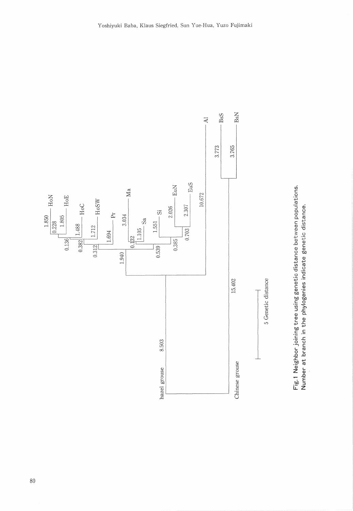

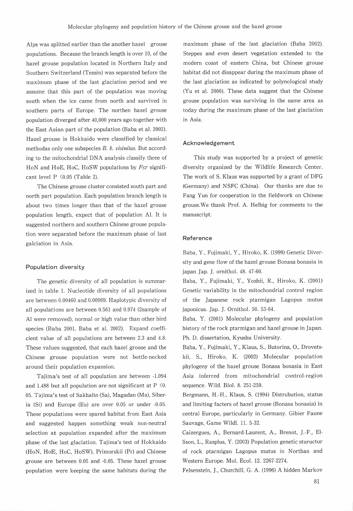Alps was splitted earlier than the another hazel grouse populations. Because the branch iength is over 10, of the hazel grouse population located in Northern Italy and Southem Switzerland (Tessin) was separated before the maximura phase of the last glaciation period and we assume that this part of the population was moving south when the ice came from north and survived in southern parts of Europe. The northen hazel grouse population diverged after 40,000 years ago together with the East Asian part of the population (Baba et al. 2002). Hazel grouse in Hokkaido were classified by classical methodas only one subspecies B. b. visinitas. But according to the mitochondrial DNA analysis classify three of HoN and HoE, HoC, HoSW populations by FsT significant level  $P \leq 0.05$  (Table 2).

 The Chinese grouse cluster consisted south part and north part population. Each population branch length is about two times longer than that of the hazel grouse population length, expect that of population Al. It is suggested northern and southern Chinese grouse population were separated before the maximum phase of last galciation in Asia.

#### Population diversity

 The genetic diversity of all population is summarized in table 1. Nucleotide diversity of all populations are between O.O0460 and O.O0969. Haplotypic diversity of all populations are between O.561 and O.974 (2sample of Al were removed), normal or high value than other bird species (Baba 2001, Baba et al. 2002). Expand coefficient value of all populations are between 2.3 and 4.8. These values suggested, that each hazel grouse and the Chinese grouse population were not bottle-necked around their population expansion.

 Tajima's test of all population are between -l.094 and 1.488 but all population are not significant at  $P \le 0$ . 05. Tajima's test of Sakhalin (Sa), Magadan (Ma), Siberia (Si) and Europe (Eu) are over 0.05 or under -0.05. These populations were spared habitat from East Asia and suggested happen something weak non-neutral selection at population expanded after the maximum phase of the last glaciation. Tajima's test of Hokkaido (HoN, HoE, HoC, HoSW), Primorskii (Pr) and Chinese grouse are between O.05 and -O.05. These hazel grouse population were keeping the same habitats during the

maximum phase of the last glaciation (Baba 2002). Steppes and even desert vegetation extended to the modern coast of eastern China, but Chinese grouse habitat did not disappear during the maximum phase of the last glaciation as indicated by polynological study (Yu et al. 2000). These data suggest that the Chinese grouse population was surviving in the same area as today during the maximum phase of the last glaciation in Asia.

#### Acknowiedgement

This study was supported by a project of genetic diversity organized by the Wildlife Research Center. The work of S. Klaus was supported by a grant of DFG (Germany) and NSFC (China). Our thanks are due to Fang Yun for cooperation in the fieldwork on Chinese grouse.We thank Prof. A. Helbig for comments to the manuscript.

#### Reference

Baba, Y., Fujimaki, Y., Hiroko, K. (1999) Genetic Diversity and gene flow of the hazel grouse Bonasa bonasia in japan Jap. J. ornithol. 48. 47-60.

Baba, \., Fujimaki, Y., Yoshii, R., Hiroko, K (2001) Genetic variabillty in the mitechondrial control region of the Japanese rock ptarmigan Lagopus rnutus japonicus. Jap. J. Ornithol. 50. 53-64.

Baba, Y. (2001) Molecular phylogeny and population history of the rock ptarmigan and hazel grouse in Japan. Ph. D. dissertation, Kyushu University.

Baba, Y., Fujimaki, Y., Klaus, S., Butorina, O., Drovetskii, S., Hiroko, K. (2002) Molecular population phylogeny of the hazel grouse Bonasa benasia in East Asia inferred from mitochendrial control-region sequence. Wild. Biol. 8. 251-259.

Bergrnann, H.-H., Klaus, S. (1994) Distrubution, status and limiting facters of hazel grouse (Bonasa bonasia) in central Europe, particularly in Germany. Gibier Faune Sauvage, Game Wildl. 11. 5-32.

Caizergues, A., Bernard-Laurent, A., Brenot, J.-F., Ellison, L., Rasplus, Y. (2003) Population genetic stuructur of rock ptarmigan Lagopus mutus in Northan and Western Europe. Mol. Ecol. 12. 2267-2274.

Felsenstein, J., Churchill, G. A. (1996) A hidden Markov